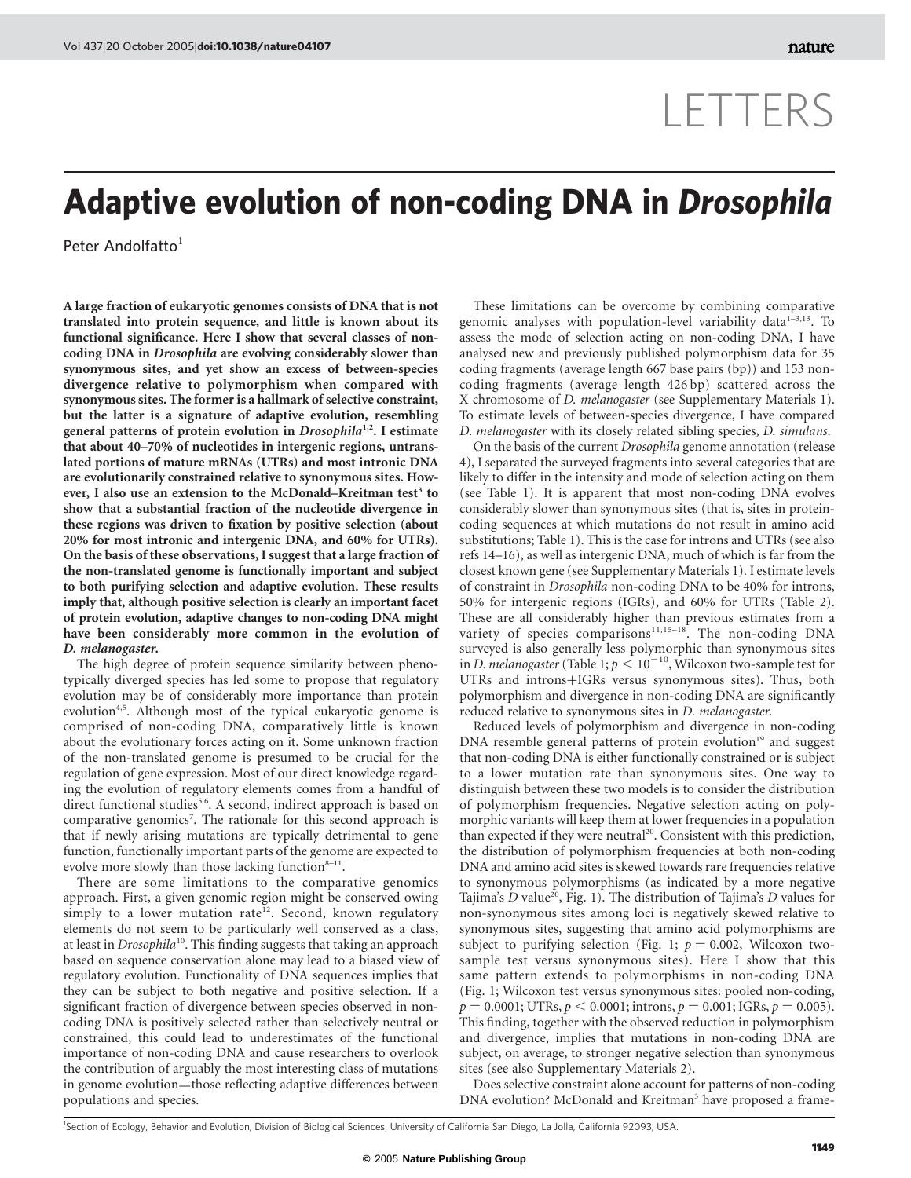## LETTERS

## Adaptive evolution of non-coding DNA in Drosophila

Peter Andolfatto<sup>1</sup>

A large fraction of eukaryotic genomes consists of DNA that is not translated into protein sequence, and little is known about its functional significance. Here I show that several classes of noncoding DNA in Drosophila are evolving considerably slower than synonymous sites, and yet show an excess of between-species divergence relative to polymorphism when compared with synonymous sites. The former is a hallmark of selective constraint, but the latter is a signature of adaptive evolution, resembling general patterns of protein evolution in Drosophila<sup>1,2</sup>. I estimate that about 40–70% of nucleotides in intergenic regions, untranslated portions of mature mRNAs (UTRs) and most intronic DNA are evolutionarily constrained relative to synonymous sites. However, I also use an extension to the McDonald–Kreitman test<sup>3</sup> to show that a substantial fraction of the nucleotide divergence in these regions was driven to fixation by positive selection (about 20% for most intronic and intergenic DNA, and 60% for UTRs). On the basis of these observations, I suggest that a large fraction of the non-translated genome is functionally important and subject to both purifying selection and adaptive evolution. These results imply that, although positive selection is clearly an important facet of protein evolution, adaptive changes to non-coding DNA might have been considerably more common in the evolution of D. melanogaster.

The high degree of protein sequence similarity between phenotypically diverged species has led some to propose that regulatory evolution may be of considerably more importance than protein evolution<sup>4,5</sup>. Although most of the typical eukaryotic genome is comprised of non-coding DNA, comparatively little is known about the evolutionary forces acting on it. Some unknown fraction of the non-translated genome is presumed to be crucial for the regulation of gene expression. Most of our direct knowledge regarding the evolution of regulatory elements comes from a handful of direct functional studies<sup>5,6</sup>. A second, indirect approach is based on comparative genomics<sup>7</sup>. The rationale for this second approach is that if newly arising mutations are typically detrimental to gene function, functionally important parts of the genome are expected to evolve more slowly than those lacking function $8-11$ .

There are some limitations to the comparative genomics approach. First, a given genomic region might be conserved owing simply to a lower mutation rate<sup>12</sup>. Second, known regulatory elements do not seem to be particularly well conserved as a class, at least in *Drosophila*<sup>10</sup>. This finding suggests that taking an approach based on sequence conservation alone may lead to a biased view of regulatory evolution. Functionality of DNA sequences implies that they can be subject to both negative and positive selection. If a significant fraction of divergence between species observed in noncoding DNA is positively selected rather than selectively neutral or constrained, this could lead to underestimates of the functional importance of non-coding DNA and cause researchers to overlook the contribution of arguably the most interesting class of mutations in genome evolution—those reflecting adaptive differences between populations and species.

These limitations can be overcome by combining comparative genomic analyses with population-level variability data $1-3,13$ . To assess the mode of selection acting on non-coding DNA, I have analysed new and previously published polymorphism data for 35 coding fragments (average length 667 base pairs (bp)) and 153 noncoding fragments (average length 426 bp) scattered across the X chromosome of D. melanogaster (see Supplementary Materials 1). To estimate levels of between-species divergence, I have compared D. melanogaster with its closely related sibling species, D. simulans.

On the basis of the current Drosophila genome annotation (release 4), I separated the surveyed fragments into several categories that are likely to differ in the intensity and mode of selection acting on them (see Table 1). It is apparent that most non-coding DNA evolves considerably slower than synonymous sites (that is, sites in proteincoding sequences at which mutations do not result in amino acid substitutions; Table 1). This is the case for introns and UTRs (see also refs 14–16), as well as intergenic DNA, much of which is far from the closest known gene (see Supplementary Materials 1). I estimate levels of constraint in Drosophila non-coding DNA to be 40% for introns, 50% for intergenic regions (IGRs), and 60% for UTRs (Table 2). These are all considerably higher than previous estimates from a variety of species comparisons<sup>11,15-18</sup>. The non-coding DNA surveyed is also generally less polymorphic than synonymous sites in D. melanogaster (Table 1;  $p < 10^{-10}$ , Wilcoxon two-sample test for UTRs and introns+IGRs versus synonymous sites). Thus, both polymorphism and divergence in non-coding DNA are significantly reduced relative to synonymous sites in D. melanogaster.

Reduced levels of polymorphism and divergence in non-coding DNA resemble general patterns of protein evolution<sup>19</sup> and suggest that non-coding DNA is either functionally constrained or is subject to a lower mutation rate than synonymous sites. One way to distinguish between these two models is to consider the distribution of polymorphism frequencies. Negative selection acting on polymorphic variants will keep them at lower frequencies in a population than expected if they were neutral<sup>20</sup>. Consistent with this prediction, the distribution of polymorphism frequencies at both non-coding DNA and amino acid sites is skewed towards rare frequencies relative to synonymous polymorphisms (as indicated by a more negative Tajima's  $D$  value<sup>20</sup>, Fig. 1). The distribution of Tajima's  $D$  values for non-synonymous sites among loci is negatively skewed relative to synonymous sites, suggesting that amino acid polymorphisms are subject to purifying selection (Fig. 1;  $p = 0.002$ , Wilcoxon twosample test versus synonymous sites). Here I show that this same pattern extends to polymorphisms in non-coding DNA (Fig. 1; Wilcoxon test versus synonymous sites: pooled non-coding,  $p = 0.0001$ ; UTRs,  $p < 0.0001$ ; introns,  $p = 0.001$ ; IGRs,  $p = 0.005$ ). This finding, together with the observed reduction in polymorphism and divergence, implies that mutations in non-coding DNA are subject, on average, to stronger negative selection than synonymous sites (see also Supplementary Materials 2).

Does selective constraint alone account for patterns of non-coding DNA evolution? McDonald and Kreitman<sup>3</sup> have proposed a frame-

<sup>1</sup>Section of Ecology, Behavior and Evolution, Division of Biological Sciences, University of California San Diego, La Jolla, California 92093, USA.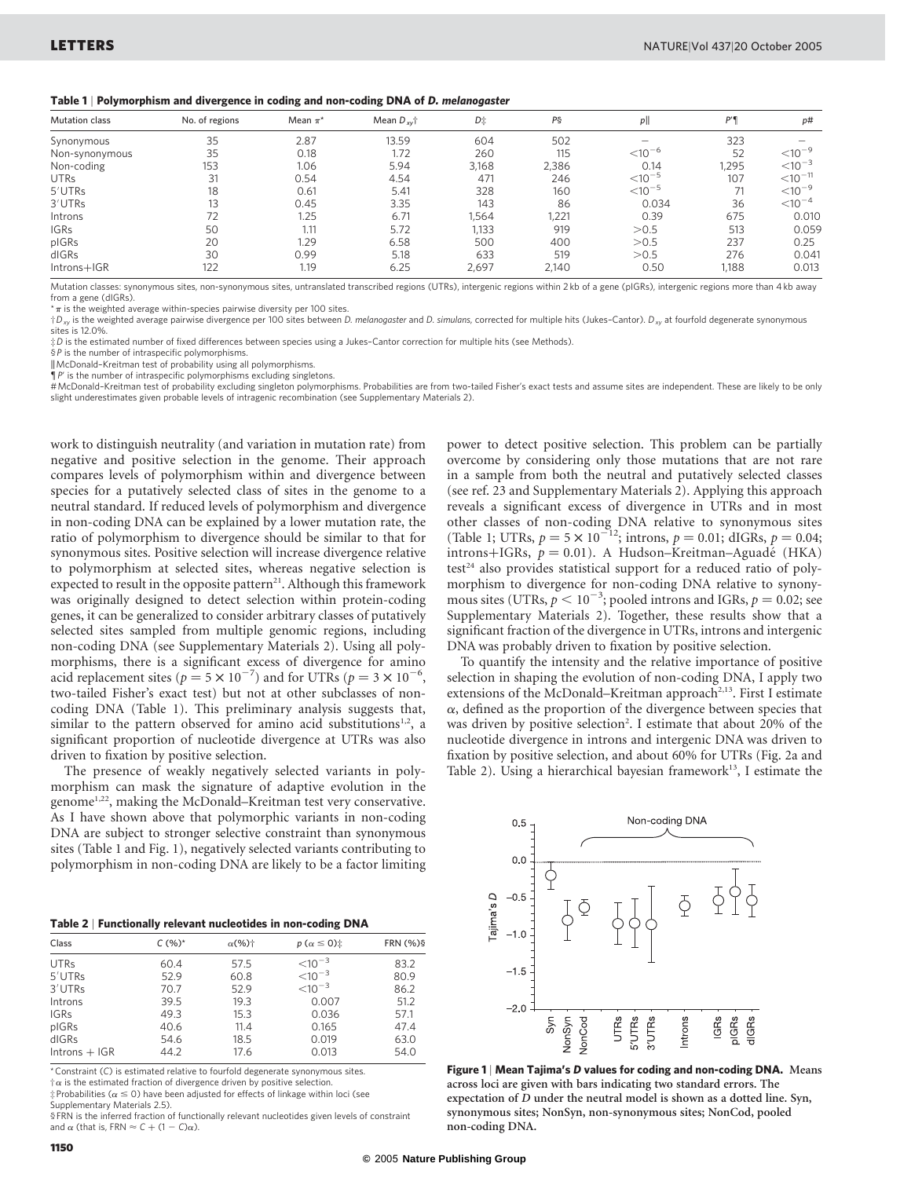|  |  |  |  |  | Table 1   Polymorphism and divergence in coding and non-coding DNA of D. melanogaster |
|--|--|--|--|--|---------------------------------------------------------------------------------------|
|--|--|--|--|--|---------------------------------------------------------------------------------------|

| <b>Mutation class</b> | No. of regions | Mean $\pi^*$ | Mean $D_{xy}$ <sup>+</sup> | D‡    | PS    | $p$                  | P'    | p#                                 |
|-----------------------|----------------|--------------|----------------------------|-------|-------|----------------------|-------|------------------------------------|
| Synonymous            | 35             | 2.87         | 13.59                      | 604   | 502   |                      | 323   |                                    |
| Non-synonymous        | 35             | 0.18         | 1.72                       | 260   | 115   | $<$ 10 <sup>-6</sup> | 52    | $<$ 10 <sup>-9</sup>               |
| Non-coding            | 153            | 1.06         | 5.94                       | 3.168 | 2,386 | 0.14                 | 1,295 | $< 10^{-3}$                        |
| <b>UTRs</b>           | 31             | 0.54         | 4.54                       | 471   | 246   | $<$ 10 $^{-5}$       | 107   | $<$ 10 <sup><math>-11</math></sup> |
| $5'$ UTRs             | 18             | 0.61         | 5.41                       | 328   | 160   | $<$ 10 $^{-5}$       | 71    | $<10^{-9}$                         |
| 3'UTRs                | 13             | 0.45         | 3.35                       | 143   | 86    | 0.034                | 36    | $< 10^{-4}$                        |
| Introns               |                | 1.25         | 6.71                       | 1.564 | 1,221 | 0.39                 | 675   | 0.010                              |
| <b>IGRs</b>           | 50             | 1.11         | 5.72                       | 1,133 | 919   | >0.5                 | 513   | 0.059                              |
| pIGRs                 | 20             | 1.29         | 6.58                       | 500   | 400   | >0.5                 | 237   | 0.25                               |
| dIGRs                 | 30             | 0.99         | 5.18                       | 633   | 519   | >0.5                 | 276   | 0.041                              |
| Introns+IGR           | 122            | 1.19         | 6.25                       | 2,697 | 2,140 | 0.50                 | 1,188 | 0.013                              |

Mutation classes: synonymous sites, non-synonymous sites, untranslated transcribed regions (UTRs), intergenic regions within 2 kb of a gene (pIGRs), intergenic regions more than 4 kb away from a gene (dIGRs).

 $^{\star}\pi$  is the weighted average within-species pairwise diversity per 100 sites.

 $\dagger D_{xy}$  is the weighted average pairwise divergence per 100 sites between D. melanogaster and D. simulans, corrected for multiple hits (Jukes-Cantor).  $D_{xy}$  at fourfold degenerate synonymous sites is 12.0%.

‡D is the estimated number of fixed differences between species using a Jukes–Cantor correction for multiple hits (see Methods).

§P is the number of intraspecific polymorphisms

kMcDonald–Kreitman test of probability using all polymorphisms.

 $\mathbb{P}$  is the number of intraspecific polymorphisms excluding singletons.

#McDonald–Kreitman test of probability excluding singleton polymorphisms. Probabilities are from two-tailed Fisher's exact tests and assume sites are independent. These are likely to be only slight underestimates given probable levels of intragenic recombination (see Supplementary Materials 2).

work to distinguish neutrality (and variation in mutation rate) from negative and positive selection in the genome. Their approach compares levels of polymorphism within and divergence between species for a putatively selected class of sites in the genome to a neutral standard. If reduced levels of polymorphism and divergence in non-coding DNA can be explained by a lower mutation rate, the ratio of polymorphism to divergence should be similar to that for synonymous sites. Positive selection will increase divergence relative to polymorphism at selected sites, whereas negative selection is expected to result in the opposite pattern<sup>21</sup>. Although this framework was originally designed to detect selection within protein-coding genes, it can be generalized to consider arbitrary classes of putatively selected sites sampled from multiple genomic regions, including non-coding DNA (see Supplementary Materials 2). Using all polymorphisms, there is a significant excess of divergence for amino acid replacement sites ( $p = 5 \times 10^{-7}$ ) and for UTRs ( $p = 3 \times 10^{-6}$ , two-tailed Fisher's exact test) but not at other subclasses of noncoding DNA (Table 1). This preliminary analysis suggests that, similar to the pattern observed for amino acid substitutions $1,2$ , a significant proportion of nucleotide divergence at UTRs was also driven to fixation by positive selection.

The presence of weakly negatively selected variants in polymorphism can mask the signature of adaptive evolution in the genome<sup>1,22</sup>, making the McDonald–Kreitman test very conservative. As I have shown above that polymorphic variants in non-coding DNA are subject to stronger selective constraint than synonymous sites (Table 1 and Fig. 1), negatively selected variants contributing to polymorphism in non-coding DNA are likely to be a factor limiting

| Table 2   Functionally relevant nucleotides in non-coding DNA |  |  |  |
|---------------------------------------------------------------|--|--|--|
|---------------------------------------------------------------|--|--|--|

| Class           | $C(%)^*$ | $\alpha$ (%) <sup>+</sup> | $p(\alpha \leq 0)$ : | <b>FRN (%)\$</b> |
|-----------------|----------|---------------------------|----------------------|------------------|
| <b>UTRs</b>     | 60.4     | 57.5                      | $< 10^{-3}$          | 83.2             |
| 5'UTRs          | 52.9     | 60.8                      | $< 10^{-3}$          | 80.9             |
| 3'UTRs          | 70.7     | 52.9                      | $< 10^{-3}$          | 86.2             |
| Introns         | 39.5     | 19.3                      | 0.007                | 51.2             |
| <b>IGRs</b>     | 49.3     | 15.3                      | 0.036                | 57.1             |
| pIGRs           | 40.6     | 11.4                      | 0.165                | 47.4             |
| dIGRs           | 54.6     | 18.5                      | 0.019                | 63.0             |
| $Introns + IGR$ | 44.2     | 17.6                      | 0.013                | 54.0             |

\*Constraint (C) is estimated relative to fourfold degenerate synonymous sites.

 $\dagger\alpha$  is the estimated fraction of divergence driven by positive selection

 $\ddagger$ Probabilities ( $\alpha \le 0$ ) have been adjusted for effects of linkage within loci (see Supplementary Materials 2.5).

§FRN is the inferred fraction of functionally relevant nucleotides given levels of constraint and  $\alpha$  (that is, FRN  $\approx$  C + (1 - C) $\alpha$ ).

power to detect positive selection. This problem can be partially overcome by considering only those mutations that are not rare in a sample from both the neutral and putatively selected classes (see ref. 23 and Supplementary Materials 2). Applying this approach reveals a significant excess of divergence in UTRs and in most other classes of non-coding DNA relative to synonymous sites (Table 1; UTRs,  $p = 5 \times 10^{-212}$ ; introns,  $p = 0.01$ ; dIGRs,  $p = 0.04$ ;  $introns+IGRs, p = 0.01$ . A Hudson–Kreitman–Aguadé (HKA)  $test<sup>24</sup>$  also provides statistical support for a reduced ratio of polymorphism to divergence for non-coding DNA relative to synonymous sites (UTRs,  $p < 10^{-3}$ ; pooled introns and IGRs,  $p = 0.02$ ; see Supplementary Materials 2). Together, these results show that a significant fraction of the divergence in UTRs, introns and intergenic DNA was probably driven to fixation by positive selection.

To quantify the intensity and the relative importance of positive selection in shaping the evolution of non-coding DNA, I apply two extensions of the McDonald–Kreitman approach<sup>2,13</sup>. First I estimate  $\alpha$ , defined as the proportion of the divergence between species that was driven by positive selection<sup>2</sup>. I estimate that about 20% of the nucleotide divergence in introns and intergenic DNA was driven to fixation by positive selection, and about 60% for UTRs (Fig. 2a and Table 2). Using a hierarchical bayesian framework<sup>13</sup>, I estimate the



Figure 1 | Mean Tajima's D values for coding and non-coding DNA. Means across loci are given with bars indicating two standard errors. The expectation of D under the neutral model is shown as a dotted line. Syn, synonymous sites; NonSyn, non-synonymous sites; NonCod, pooled non-coding DNA.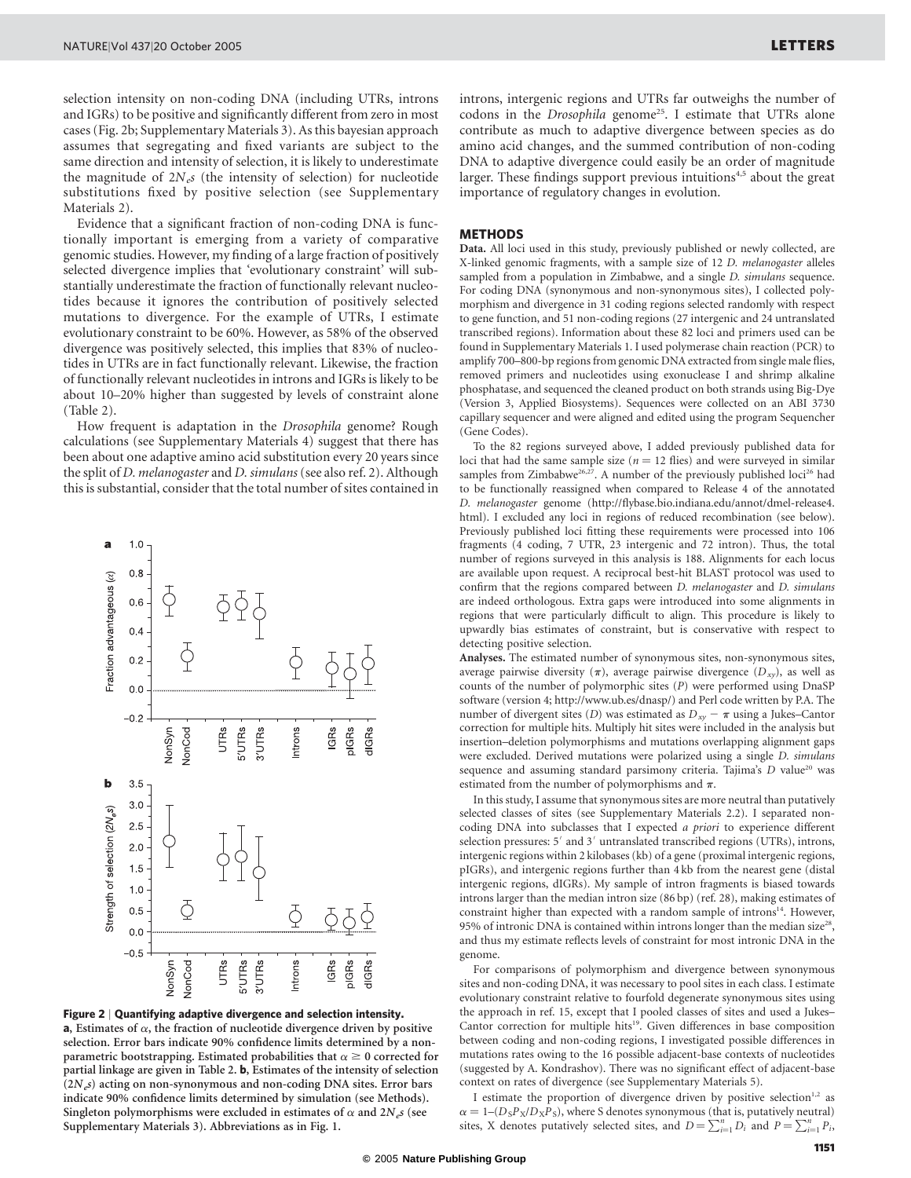selection intensity on non-coding DNA (including UTRs, introns and IGRs) to be positive and significantly different from zero in most cases (Fig. 2b; Supplementary Materials 3). As this bayesian approach assumes that segregating and fixed variants are subject to the same direction and intensity of selection, it is likely to underestimate the magnitude of  $2N_e s$  (the intensity of selection) for nucleotide substitutions fixed by positive selection (see Supplementary Materials 2).

Evidence that a significant fraction of non-coding DNA is functionally important is emerging from a variety of comparative genomic studies. However, my finding of a large fraction of positively selected divergence implies that 'evolutionary constraint' will substantially underestimate the fraction of functionally relevant nucleotides because it ignores the contribution of positively selected mutations to divergence. For the example of UTRs, I estimate evolutionary constraint to be 60%. However, as 58% of the observed divergence was positively selected, this implies that 83% of nucleotides in UTRs are in fact functionally relevant. Likewise, the fraction of functionally relevant nucleotides in introns and IGRs is likely to be about 10–20% higher than suggested by levels of constraint alone (Table 2).

How frequent is adaptation in the Drosophila genome? Rough calculations (see Supplementary Materials 4) suggest that there has been about one adaptive amino acid substitution every 20 years since the split of *D. melanogaster* and *D. simulans* (see also ref. 2). Although this is substantial, consider that the total number of sites contained in





introns, intergenic regions and UTRs far outweighs the number of codons in the Drosophila genome<sup>25</sup>. I estimate that UTRs alone contribute as much to adaptive divergence between species as do amino acid changes, and the summed contribution of non-coding DNA to adaptive divergence could easily be an order of magnitude larger. These findings support previous intuitions<sup>4,5</sup> about the great importance of regulatory changes in evolution.

## **METHODS**

Data. All loci used in this study, previously published or newly collected, are X-linked genomic fragments, with a sample size of 12 D. melanogaster alleles sampled from a population in Zimbabwe, and a single *D. simulans* sequence. For coding DNA (synonymous and non-synonymous sites), I collected polymorphism and divergence in 31 coding regions selected randomly with respect to gene function, and 51 non-coding regions (27 intergenic and 24 untranslated transcribed regions). Information about these 82 loci and primers used can be found in Supplementary Materials 1. I used polymerase chain reaction (PCR) to amplify 700–800-bp regions from genomic DNA extracted from single male flies, removed primers and nucleotides using exonuclease I and shrimp alkaline phosphatase, and sequenced the cleaned product on both strands using Big-Dye (Version 3, Applied Biosystems). Sequences were collected on an ABI 3730 capillary sequencer and were aligned and edited using the program Sequencher (Gene Codes).

To the 82 regions surveyed above, I added previously published data for loci that had the same sample size ( $n = 12$  flies) and were surveyed in similar samples from Zimbabwe<sup>26,27</sup>. A number of the previously published loci<sup>26</sup> had to be functionally reassigned when compared to Release 4 of the annotated D. melanogaster genome (http://flybase.bio.indiana.edu/annot/dmel-release4. html). I excluded any loci in regions of reduced recombination (see below). Previously published loci fitting these requirements were processed into 106 fragments (4 coding, 7 UTR, 23 intergenic and 72 intron). Thus, the total number of regions surveyed in this analysis is 188. Alignments for each locus are available upon request. A reciprocal best-hit BLAST protocol was used to confirm that the regions compared between D. melanogaster and D. simulans are indeed orthologous. Extra gaps were introduced into some alignments in regions that were particularly difficult to align. This procedure is likely to upwardly bias estimates of constraint, but is conservative with respect to detecting positive selection.

Analyses. The estimated number of synonymous sites, non-synonymous sites, average pairwise diversity  $(\pi)$ , average pairwise divergence  $(D_{xy})$ , as well as counts of the number of polymorphic sites (P) were performed using DnaSP software (version 4; http://www.ub.es/dnasp/) and Perl code written by P.A. The number of divergent sites (D) was estimated as  $D_{xy} - \pi$  using a Jukes–Cantor correction for multiple hits. Multiply hit sites were included in the analysis but insertion–deletion polymorphisms and mutations overlapping alignment gaps were excluded. Derived mutations were polarized using a single D. simulans sequence and assuming standard parsimony criteria. Tajima's D value<sup>20</sup> was estimated from the number of polymorphisms and  $\pi$ .

In this study, I assume that synonymous sites are more neutral than putatively selected classes of sites (see Supplementary Materials 2.2). I separated noncoding DNA into subclasses that I expected a priori to experience different selection pressures: 5' and 3' untranslated transcribed regions (UTRs), introns, intergenic regions within 2 kilobases (kb) of a gene (proximal intergenic regions, pIGRs), and intergenic regions further than 4 kb from the nearest gene (distal intergenic regions, dIGRs). My sample of intron fragments is biased towards introns larger than the median intron size (86 bp) (ref. 28), making estimates of constraint higher than expected with a random sample of introns<sup>14</sup>. However, 95% of intronic DNA is contained within introns longer than the median size<sup>28</sup>, and thus my estimate reflects levels of constraint for most intronic DNA in the genome.

For comparisons of polymorphism and divergence between synonymous sites and non-coding DNA, it was necessary to pool sites in each class. I estimate evolutionary constraint relative to fourfold degenerate synonymous sites using the approach in ref. 15, except that I pooled classes of sites and used a Jukes– Cantor correction for multiple hits<sup>19</sup>. Given differences in base composition between coding and non-coding regions, I investigated possible differences in mutations rates owing to the 16 possible adjacent-base contexts of nucleotides (suggested by A. Kondrashov). There was no significant effect of adjacent-base context on rates of divergence (see Supplementary Materials 5).

I estimate the proportion of divergence driven by positive selection $1,2$  as  $\alpha = 1-(D_{S}P_{X}/D_{X}P_{S})$ , where S denotes synonymous (that is, putatively neutral) sites, X denotes putatively selected sites, and  $D = \sum_{i=1}^{n} D_i$  and  $P = \sum_{i=1}^{n} P_i$ ,